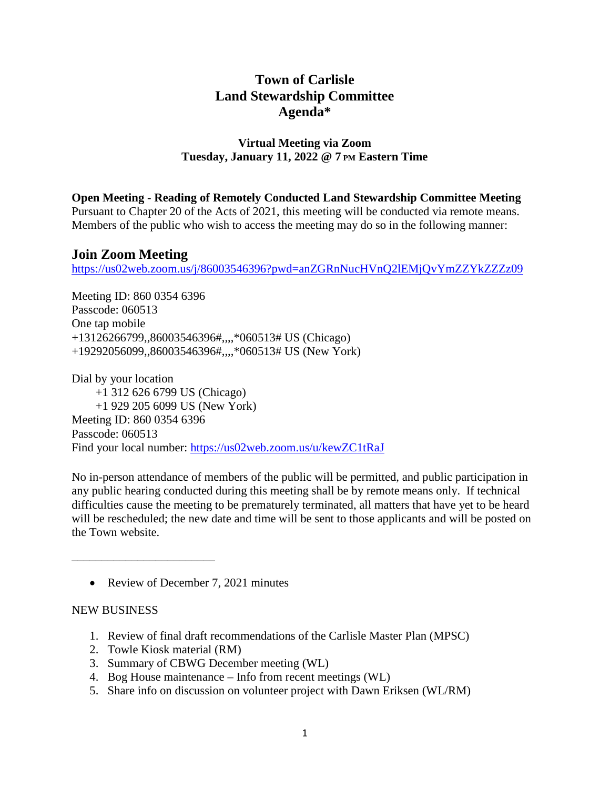# **Town of Carlisle Land Stewardship Committee Agenda\***

### **Virtual Meeting via Zoom Tuesday, January 11, 2022 @ 7 PM Eastern Time**

**Open Meeting - Reading of Remotely Conducted Land Stewardship Committee Meeting**

Pursuant to Chapter 20 of the Acts of 2021, this meeting will be conducted via remote means. Members of the public who wish to access the meeting may do so in the following manner:

## **Join Zoom Meeting**

<https://us02web.zoom.us/j/86003546396?pwd=anZGRnNucHVnQ2lEMjQvYmZZYkZZZz09>

Meeting ID: 860 0354 6396 Passcode: 060513 One tap mobile +13126266799,,86003546396#,,,,\*060513# US (Chicago) +19292056099,,86003546396#,,,,\*060513# US (New York)

Dial by your location +1 312 626 6799 US (Chicago) +1 929 205 6099 US (New York) Meeting ID: 860 0354 6396 Passcode: 060513 Find your local number: <https://us02web.zoom.us/u/kewZC1tRaJ>

No in-person attendance of members of the public will be permitted, and public participation in any public hearing conducted during this meeting shall be by remote means only. If technical difficulties cause the meeting to be prematurely terminated, all matters that have yet to be heard will be rescheduled; the new date and time will be sent to those applicants and will be posted on the Town website.

• Review of December 7, 2021 minutes

#### NEW BUSINESS

\_\_\_\_\_\_\_\_\_\_\_\_\_\_\_\_\_\_\_\_\_\_\_\_

- 1. Review of final draft recommendations of the Carlisle Master Plan (MPSC)
- 2. Towle Kiosk material (RM)
- 3. Summary of CBWG December meeting (WL)
- 4. Bog House maintenance Info from recent meetings (WL)
- 5. Share info on discussion on volunteer project with Dawn Eriksen (WL/RM)